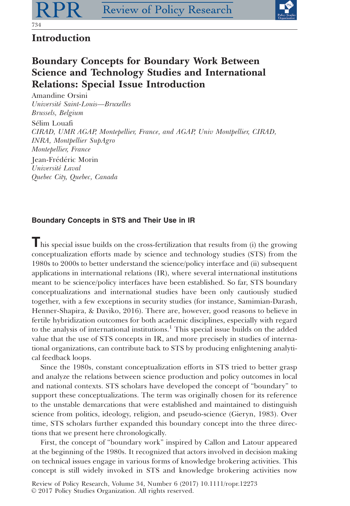

# Introduction

## Boundary Concepts for Boundary Work Between Science and Technology Studies and International Relations: Special Issue Introduction

Amandine Orsini Université Saint-Louis-Bruxelles Brussels, Belgium Sélim Louafi CIRAD, UMR AGAP, Montepellier, France, and AGAP, Univ Montpellier, CIRAD, INRA, Montpellier SupAgro Montepellier, France

Jean-Frédéric Morin Université Laval Quebec City, Quebec, Canada

### Boundary Concepts in STS and Their Use in IR

This special issue builds on the cross-fertilization that results from (i) the growing conceptualization efforts made by science and technology studies (STS) from the 1980s to 2000s to better understand the science/policy interface and (ii) subsequent applications in international relations (IR), where several international institutions meant to be science/policy interfaces have been established. So far, STS boundary conceptualizations and international studies have been only cautiously studied together, with a few exceptions in security studies (for instance, Samimian-Darash, Henner-Shapira, & Daviko, 2016). There are, however, good reasons to believe in fertile hybridization outcomes for both academic disciplines, especially with regard to the analysis of international institutions.<sup>1</sup> This special issue builds on the added value that the use of STS concepts in IR, and more precisely in studies of international organizations, can contribute back to STS by producing enlightening analytical feedback loops.

Since the 1980s, constant conceptualization efforts in STS tried to better grasp and analyze the relations between science production and policy outcomes in local and national contexts. STS scholars have developed the concept of "boundary" to support these conceptualizations. The term was originally chosen for its reference to the unstable demarcations that were established and maintained to distinguish science from politics, ideology, religion, and pseudo-science (Gieryn, 1983). Over time, STS scholars further expanded this boundary concept into the three directions that we present here chronologically.

First, the concept of "boundary work" inspired by Callon and Latour appeared at the beginning of the 1980s. It recognized that actors involved in decision making on technical issues engage in various forms of knowledge brokering activities. This concept is still widely invoked in STS and knowledge brokering activities now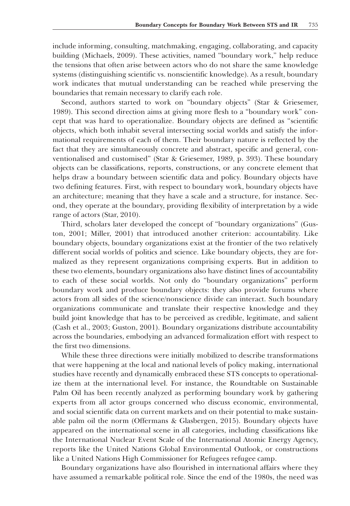include informing, consulting, matchmaking, engaging, collaborating, and capacity building (Michaels, 2009). These activities, named "boundary work," help reduce the tensions that often arise between actors who do not share the same knowledge systems (distinguishing scientific vs. nonscientific knowledge). As a result, boundary work indicates that mutual understanding can be reached while preserving the boundaries that remain necessary to clarify each role.

Second, authors started to work on "boundary objects" (Star & Griesemer, 1989). This second direction aims at giving more flesh to a "boundary work" concept that was hard to operationalize. Boundary objects are defined as "scientific objects, which both inhabit several intersecting social worlds and satisfy the informational requirements of each of them. Their boundary nature is reflected by the fact that they are simultaneously concrete and abstract, specific and general, conventionalised and customised" (Star & Griesemer, 1989, p. 393). These boundary objects can be classifications, reports, constructions, or any concrete element that helps draw a boundary between scientific data and policy. Boundary objects have two defining features. First, with respect to boundary work, boundary objects have an architecture; meaning that they have a scale and a structure, for instance. Second, they operate at the boundary, providing flexibility of interpretation by a wide range of actors (Star, 2010).

Third, scholars later developed the concept of "boundary organizations" (Guston, 2001; Miller, 2001) that introduced another criterion: accountability. Like boundary objects, boundary organizations exist at the frontier of the two relatively different social worlds of politics and science. Like boundary objects, they are formalized as they represent organizations comprising experts. But in addition to these two elements, boundary organizations also have distinct lines of accountability to each of these social worlds. Not only do "boundary organizations" perform boundary work and produce boundary objects: they also provide forums where actors from all sides of the science/nonscience divide can interact. Such boundary organizations communicate and translate their respective knowledge and they build joint knowledge that has to be perceived as credible, legitimate, and salient (Cash et al., 2003; Guston, 2001). Boundary organizations distribute accountability across the boundaries, embodying an advanced formalization effort with respect to the first two dimensions.

While these three directions were initially mobilized to describe transformations that were happening at the local and national levels of policy making, international studies have recently and dynamically embraced these STS concepts to operationalize them at the international level. For instance, the Roundtable on Sustainable Palm Oil has been recently analyzed as performing boundary work by gathering experts from all actor groups concerned who discuss economic, environmental, and social scientific data on current markets and on their potential to make sustainable palm oil the norm (Offermans & Glasbergen, 2015). Boundary objects have appeared on the international scene in all categories, including classifications like the International Nuclear Event Scale of the International Atomic Energy Agency, reports like the United Nations Global Environmental Outlook, or constructions like a United Nations High Commissioner for Refugees refugee camp.

Boundary organizations have also flourished in international affairs where they have assumed a remarkable political role. Since the end of the 1980s, the need was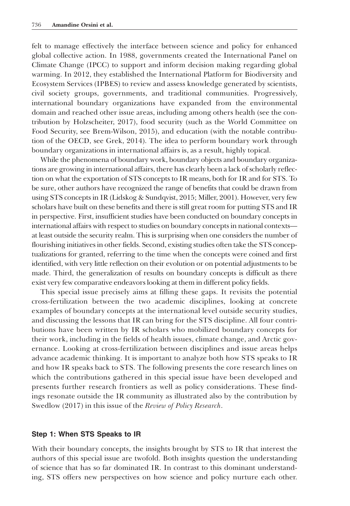felt to manage effectively the interface between science and policy for enhanced global collective action. In 1988, governments created the International Panel on Climate Change (IPCC) to support and inform decision making regarding global warming. In 2012, they established the International Platform for Biodiversity and Ecosystem Services (IPBES) to review and assess knowledge generated by scientists, civil society groups, governments, and traditional communities. Progressively, international boundary organizations have expanded from the environmental domain and reached other issue areas, including among others health (see the contribution by Holzscheiter, 2017), food security (such as the World Committee on Food Security, see Brem-Wilson, 2015), and education (with the notable contribution of the OECD, see Grek, 2014). The idea to perform boundary work through boundary organizations in international affairs is, as a result, highly topical.

While the phenomena of boundary work, boundary objects and boundary organizations are growing in international affairs, there has clearly been a lack of scholarly reflection on what the exportation of STS concepts to IR means, both for IR and for STS. To be sure, other authors have recognized the range of benefits that could be drawn from using STS concepts in IR (Lidskog & Sundqvist, 2015; Miller, 2001). However, very few scholars have built on these benefits and there is still great room for putting STS and IR in perspective. First, insufficient studies have been conducted on boundary concepts in international affairs with respect to studies on boundary concepts in national contexts at least outside the security realm. This is surprising when one considers the number of flourishing initiatives in other fields. Second, existing studies often take the STS conceptualizations for granted, referring to the time when the concepts were coined and first identified, with very little reflection on their evolution or on potential adjustments to be made. Third, the generalization of results on boundary concepts is difficult as there exist very few comparative endeavors looking at them in different policy fields.

This special issue precisely aims at filling these gaps. It revisits the potential cross-fertilization between the two academic disciplines, looking at concrete examples of boundary concepts at the international level outside security studies, and discussing the lessons that IR can bring for the STS discipline. All four contributions have been written by IR scholars who mobilized boundary concepts for their work, including in the fields of health issues, climate change, and Arctic governance. Looking at cross-fertilization between disciplines and issue areas helps advance academic thinking. It is important to analyze both how STS speaks to IR and how IR speaks back to STS. The following presents the core research lines on which the contributions gathered in this special issue have been developed and presents further research frontiers as well as policy considerations. These findings resonate outside the IR community as illustrated also by the contribution by Swedlow (2017) in this issue of the Review of Policy Research.

#### Step 1: When STS Speaks to IR

With their boundary concepts, the insights brought by STS to IR that interest the authors of this special issue are twofold. Both insights question the understanding of science that has so far dominated IR. In contrast to this dominant understanding, STS offers new perspectives on how science and policy nurture each other.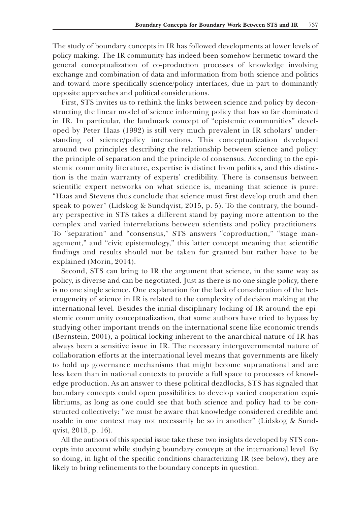The study of boundary concepts in IR has followed developments at lower levels of policy making. The IR community has indeed been somehow hermetic toward the general conceptualization of co-production processes of knowledge involving exchange and combination of data and information from both science and politics and toward more specifically science/policy interfaces, due in part to dominantly opposite approaches and political considerations.

First, STS invites us to rethink the links between science and policy by deconstructing the linear model of science informing policy that has so far dominated in IR. In particular, the landmark concept of "epistemic communities" developed by Peter Haas (1992) is still very much prevalent in IR scholars' understanding of science/policy interactions. This conceptualization developed around two principles describing the relationship between science and policy: the principle of separation and the principle of consensus. According to the epistemic community literature, expertise is distinct from politics, and this distinction is the main warranty of experts' credibility. There is consensus between scientific expert networks on what science is, meaning that science is pure: "Haas and Stevens thus conclude that science must first develop truth and then speak to power" (Lidskog & Sundqvist, 2015, p. 5). To the contrary, the boundary perspective in STS takes a different stand by paying more attention to the complex and varied interrelations between scientists and policy practitioners. To "separation" and "consensus," STS answers "coproduction," "stage management," and "civic epistemology," this latter concept meaning that scientific findings and results should not be taken for granted but rather have to be explained (Morin, 2014).

Second, STS can bring to IR the argument that science, in the same way as policy, is diverse and can be negotiated. Just as there is no one single policy, there is no one single science. One explanation for the lack of consideration of the heterogeneity of science in IR is related to the complexity of decision making at the international level. Besides the initial disciplinary locking of IR around the epistemic community conceptualization, that some authors have tried to bypass by studying other important trends on the international scene like economic trends (Bernstein, 2001), a political locking inherent to the anarchical nature of IR has always been a sensitive issue in IR. The necessary intergovernmental nature of collaboration efforts at the international level means that governments are likely to hold up governance mechanisms that might become supranational and are less keen than in national contexts to provide a full space to processes of knowledge production. As an answer to these political deadlocks, STS has signaled that boundary concepts could open possibilities to develop varied cooperation equilibriums, as long as one could see that both science and policy had to be constructed collectively: "we must be aware that knowledge considered credible and usable in one context may not necessarily be so in another" (Lidskog & Sundqvist, 2015, p. 16).

All the authors of this special issue take these two insights developed by STS concepts into account while studying boundary concepts at the international level. By so doing, in light of the specific conditions characterizing IR (see below), they are likely to bring refinements to the boundary concepts in question.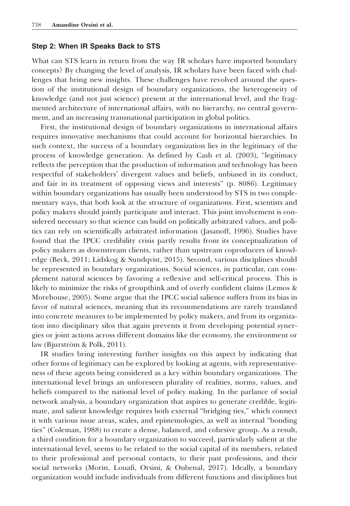#### Step 2: When IR Speaks Back to STS

What can STS learn in return from the way IR scholars have imported boundary concepts? By changing the level of analysis, IR scholars have been faced with challenges that bring new insights. These challenges have revolved around the question of the institutional design of boundary organizations, the heterogeneity of knowledge (and not just science) present at the international level, and the fragmented architecture of international affairs, with no hierarchy, no central government, and an increasing transnational participation in global politics.

First, the institutional design of boundary organizations in international affairs requires innovative mechanisms that could account for horizontal hierarchies. In such context, the success of a boundary organization lies in the legitimacy of the process of knowledge generation. As defined by Cash et al. (2003), "legitimacy reflects the perception that the production of information and technology has been respectful of stakeholders' divergent values and beliefs, unbiased in its conduct, and fair in its treatment of opposing views and interests" (p. 8086). Legitimacy within boundary organizations has usually been understood by STS in two complementary ways, that both look at the structure of organizations. First, scientists and policy makers should jointly participate and interact. This joint involvement is considered necessary so that science can build on politically arbitrated values, and politics can rely on scientifically arbitrated information (Jasanoff, 1996). Studies have found that the IPCC credibility crisis partly results from its conceptualization of policy makers as downstream clients, rather than upstream coproducers of knowledge (Beck, 2011; Lidskog & Sundqvist, 2015). Second, various disciplines should be represented in boundary organizations. Social sciences, in particular, can complement natural sciences by favoring a reflexive and self-critical process. This is likely to minimize the risks of groupthink and of overly confident claims (Lemos & Morehouse, 2005). Some argue that the IPCC social salience suffers from its bias in favor of natural sciences, meaning that its recommendations are rarely translated into concrete measures to be implemented by policy makers, and from its organization into disciplinary silos that again prevents it from developing potential synergies or joint actions across different domains like the economy, the environment or law (Bjurström & Polk, 2011).

IR studies bring interesting further insights on this aspect by indicating that other forms of legitimacy can be explored by looking at agents, with representativeness of these agents being considered as a key within boundary organizations. The international level brings an unforeseen plurality of realities, norms, values, and beliefs compared to the national level of policy making. In the parlance of social network analysis, a boundary organization that aspires to generate credible, legitimate, and salient knowledge requires both external "bridging ties," which connect it with various issue areas, scales, and epistemologies, as well as internal "bonding ties" (Coleman, 1988) to create a dense, balanced, and cohesive group. As a result, a third condition for a boundary organization to succeed, particularly salient at the international level, seems to be related to the social capital of its members, related to their professional and personal contacts, to their past professions, and their social networks (Morin, Louafi, Orsini, & Oubenal, 2017). Ideally, a boundary organization would include individuals from different functions and disciplines but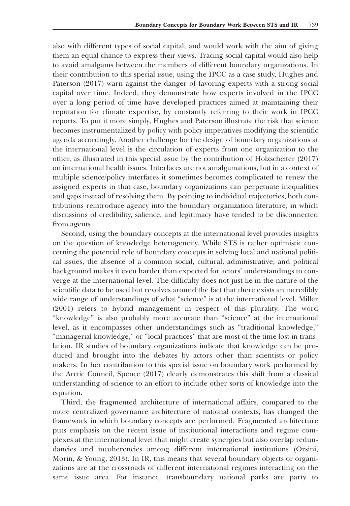also with different types of social capital, and would work with the aim of giving them an equal chance to express their views. Tracing social capital would also help to avoid amalgams between the members of different boundary organizations. In their contribution to this special issue, using the IPCC as a case study, Hughes and Paterson (2017) warn against the danger of favoring experts with a strong social capital over time. Indeed, they demonstrate how experts involved in the IPCC over a long period of time have developed practices aimed at maintaining their reputation for climate expertise, by constantly referring to their work in IPCC reports. To put it more simply, Hughes and Paterson illustrate the risk that science becomes instrumentalized by policy with policy imperatives modifying the scientific agenda accordingly. Another challenge for the design of boundary organizations at the international level is the circulation of experts from one organization to the other, as illustrated in this special issue by the contribution of Holzscheiter (2017) on international health issues. Interfaces are not amalgamations, but in a context of multiple science/policy interfaces it sometimes becomes complicated to renew the assigned experts in that case, boundary organizations can perpetuate inequalities and gaps instead of resolving them. By pointing to individual trajectories, both contributions reintroduce agency into the boundary organization literature, in which discussions of credibility, salience, and legitimacy have tended to be disconnected from agents.

Second, using the boundary concepts at the international level provides insights on the question of knowledge heterogeneity. While STS is rather optimistic concerning the potential role of boundary concepts in solving local and national political issues, the absence of a common social, cultural, administrative, and political background makes it even harder than expected for actors' understandings to converge at the international level. The difficulty does not just lie in the nature of the scientific data to be used but revolves around the fact that there exists an incredibly wide range of understandings of what "science" is at the international level. Miller (2001) refers to hybrid management in respect of this plurality. The word "knowledge" is also probably more accurate than "science" at the international level, as it encompasses other understandings such as "traditional knowledge," "managerial knowledge," or "local practices" that are most of the time lost in translation. IR studies of boundary organizations indicate that knowledge can be produced and brought into the debates by actors other than scientists or policy makers. In her contribution to this special issue on boundary work performed by the Arctic Council, Spence (2017) clearly demonstrates this shift from a classical understanding of science to an effort to include other sorts of knowledge into the equation.

Third, the fragmented architecture of international affairs, compared to the more centralized governance architecture of national contexts, has changed the framework in which boundary concepts are performed. Fragmented architecture puts emphasis on the recent issue of institutional interactions and regime complexes at the international level that might create synergies but also overlap redundancies and incoherencies among different international institutions (Orsini, Morin, & Young, 2013). In IR, this means that several boundary objects or organizations are at the crossroads of different international regimes interacting on the same issue area. For instance, transboundary national parks are party to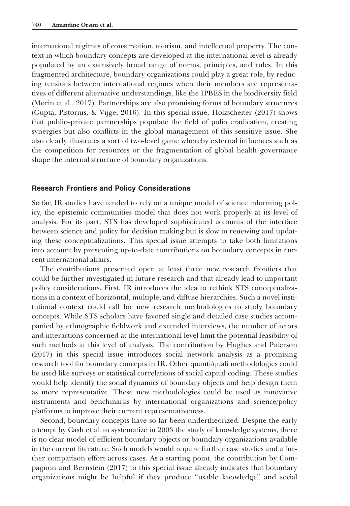international regimes of conservation, tourism, and intellectual property. The context in which boundary concepts are developed at the international level is already populated by an extensively broad range of norms, principles, and rules. In this fragmented architecture, boundary organizations could play a great role, by reducing tensions between international regimes when their members are representatives of different alternative understandings, like the IPBES in the biodiversity field (Morin et al., 2017). Partnerships are also promising forms of boundary structures (Gupta, Pistorius, & Vijge, 2016). In this special issue, Holzscheiter (2017) shows that public–private partnerships populate the field of polio eradication, creating synergies but also conflicts in the global management of this sensitive issue. She also clearly illustrates a sort of two-level game whereby external influences such as the competition for resources or the fragmentation of global health governance shape the internal structure of boundary organizations.

#### Research Frontiers and Policy Considerations

So far, IR studies have tended to rely on a unique model of science informing policy, the epistemic communities model that does not work properly at its level of analysis. For its part, STS has developed sophisticated accounts of the interface between science and policy for decision making but is slow in renewing and updating these conceptualizations. This special issue attempts to take both limitations into account by presenting up-to-date contributions on boundary concepts in current international affairs.

The contributions presented open at least three new research frontiers that could be further investigated in future research and that already lead to important policy considerations. First, IR introduces the idea to rethink STS conceptualizations in a context of horizontal, multiple, and diffuse hierarchies. Such a novel institutional context could call for new research methodologies to study boundary concepts. While STS scholars have favored single and detailed case studies accompanied by ethnographic fieldwork and extended interviews, the number of actors and interactions concerned at the international level limit the potential feasibility of such methods at this level of analysis. The contribution by Hughes and Paterson (2017) in this special issue introduces social network analysis as a promising research tool for boundary concepts in IR. Other quanti/quali methodologies could be used like surveys or statistical correlations of social capital coding. These studies would help identify the social dynamics of boundary objects and help design them as more representative. These new methodologies could be used as innovative instruments and benchmarks by international organizations and science/policy platforms to improve their current representativeness.

Second, boundary concepts have so far been undertheorized. Despite the early attempt by Cash et al. to systematize in 2003 the study of knowledge systems, there is no clear model of efficient boundary objects or boundary organizations available in the current literature. Such models would require further case studies and a further comparison effort across cases. As a starting point, the contribution by Compagnon and Bernstein (2017) to this special issue already indicates that boundary organizations might be helpful if they produce "usable knowledge" and social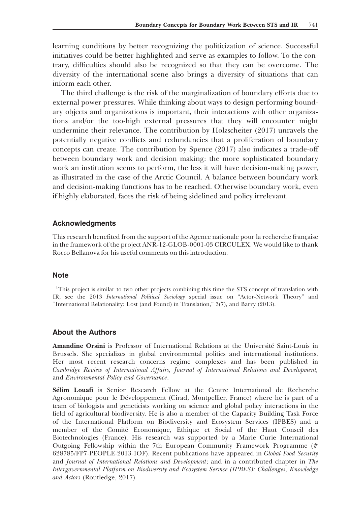learning conditions by better recognizing the politicization of science. Successful initiatives could be better highlighted and serve as examples to follow. To the contrary, difficulties should also be recognized so that they can be overcome. The diversity of the international scene also brings a diversity of situations that can inform each other.

The third challenge is the risk of the marginalization of boundary efforts due to external power pressures. While thinking about ways to design performing boundary objects and organizations is important, their interactions with other organizations and/or the too-high external pressures that they will encounter might undermine their relevance. The contribution by Holzscheiter (2017) unravels the potentially negative conflicts and redundancies that a proliferation of boundary concepts can create. The contribution by Spence (2017) also indicates a trade-off between boundary work and decision making: the more sophisticated boundary work an institution seems to perform, the less it will have decision-making power, as illustrated in the case of the Arctic Council. A balance between boundary work and decision-making functions has to be reached. Otherwise boundary work, even if highly elaborated, faces the risk of being sidelined and policy irrelevant.

#### Acknowledgments

This research benefited from the support of the Agence nationale pour la recherche française in the framework of the project ANR-12-GLOB-0001-03 CIRCULEX. We would like to thank Rocco Bellanova for his useful comments on this introduction.

#### **Note**

1 This project is similar to two other projects combining this time the STS concept of translation with IR; see the 2013 International Political Sociology special issue on "Actor-Network Theory" and "International Relationality: Lost (and Found) in Translation," 3(7), and Barry (2013).

#### About the Authors

Amandine Orsini is Professor of International Relations at the Université Saint-Louis in Brussels. She specializes in global environmental politics and international institutions. Her most recent research concerns regime complexes and has been published in Cambridge Review of International Affairs, Journal of International Relations and Development, and Environmental Policy and Governance.

Sélim Louafi is Senior Research Fellow at the Centre International de Recherche Agronomique pour le Développement (Cirad, Montpellier, France) where he is part of a team of biologists and geneticists working on science and global policy interactions in the field of agricultural biodiversity. He is also a member of the Capacity Building Task Force of the International Platform on Biodiversity and Ecosystem Services (IPBES) and a member of the Comité Economique, Ethique et Social of the Haut Conseil des Biotechnologies (France). His research was supported by a Marie Curie International Outgoing Fellowship within the 7th European Community Framework Programme (# 628785/FP7-PEOPLE-2013-IOF). Recent publications have appeared in Global Food Security and Journal of International Relations and Development; and in a contributed chapter in The Intergovernmental Platform on Biodiversity and Ecosystem Service (IPBES): Challenges, Knowledge and Actors (Routledge, 2017).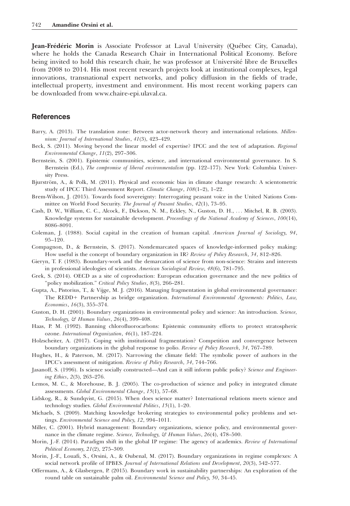Jean-Frédéric Morin is Associate Professor at Laval University (Québec City, Canada), where he holds the Canada Research Chair in International Political Economy. Before being invited to hold this research chair, he was professor at Université libre de Bruxelles from 2008 to 2014. His most recent research projects look at institutional complexes, legal innovations, transnational expert networks, and policy diffusion in the fields of trade, intellectual property, investment and environment. His most recent working papers can be downloaded from [www.chaire-epi.ulaval.ca.](www.chaire-epi.ulaval.ca)

#### **References**

- Barry, A. (2013). The translation zone: Between actor-network theory and international relations. Millennium: Journal of International Studies, 41(3), 423–429.
- Beck, S. (2011). Moving beyond the linear model of expertise? IPCC and the test of adaptation. Regional Environmental Change, 11(2), 297–306.
- Bernstein, S. (2001). Epistemic communities, science, and international environmental governance. In S. Bernstein (Ed.), The compromise of liberal environmentalism (pp. 122-177). New York: Columbia University Press.
- Bjurström, A., & Polk, M. (2011). Physical and economic bias in climate change research: A scientometric study of IPCC Third Assessment Report. Climatic Change, 108(1–2), 1–22.
- Brem-Wilson, J. (2015). Towards food sovereignty: Interrogating peasant voice in the United Nations Committee on World Food Security. The Journal of Peasant Studies, 42(1), 73–95.
- Cash, D. W., William, C. C., Alcock, F., Dickson, N. M., Eckley, N., Guston, D. H., ... Mitchel, R. B. (2003). Knowledge systems for sustainable development. Proceedings of the National Academy of Sciences, 100(14), 8086–8091.
- Coleman, J. (1988). Social capital in the creation of human capital. American Journal of Sociology, 94, 95–120.
- Compagnon, D., & Bernstein, S. (2017). Nondemarcated spaces of knowledge-informed policy making: How useful is the concept of boundary organization in IR? Review of Policy Research, 34, 812–826.
- Gieryn, T. F. (1983). Boundary-work and the demarcation of science from non-science: Strains and interests in professional ideologies of scientists. American Sociological Review, 48(6), 781–795.
- Grek, S. (2014). OECD as a site of coproduction: European education governance and the new politics of "policy mobilization." Critical Policy Studies, 8(3), 266-281.
- Gupta, A., Pistorius, T., & Vijge, M. J. (2016). Managing fragmentation in global environmental governance: The REDD+ Partnership as bridge organization. International Environmental Agreements: Politics, Law, Economics, 16(3), 355–374.
- Guston, D. H. (2001). Boundary organizations in environmental policy and science: An introduction. Science, Technology, & Human Values, 26(4), 399–408.
- Haas, P. M. (1992). Banning chlorofluorocarbons: Epistemic community efforts to protect stratospheric ozone. International Organization, 46(1), 187–224.
- Holzscheiter, A. (2017). Coping with institutional fragmentation? Competition and convergence between boundary organizations in the global response to polio. Review of Policy Research, 34, 767–789.
- Hughes, H., & Paterson, M. (2017). Narrowing the climate field: The symbolic power of authors in the IPCC's assessment of mitigation. Review of Policy Research, 34, 744–766.
- Jasanoff, S. (1996). Is science socially constructed—And can it still inform public policy? Science and Engineering Ethics, 2(3), 263–276.
- Lemos, M. C., & Morehouse, B. J. (2005). The co-production of science and policy in integrated climate assessments. Global Environmental Change, 15(1), 57–68.
- Lidskog, R., & Sundqvist, G. (2015). When does science matter? International relations meets science and technology studies. Global Environmental Politics, 15(1), 1–20.
- Michaels, S. (2009). Matching knowledge brokering strategies to environmental policy problems and settings. Environmental Science and Policy, 12, 994–1011.
- Miller, C. (2001). Hybrid management: Boundary organizations, science policy, and environmental governance in the climate regime. Science, Technology,  $\mathcal G$  Human Values, 26(4), 478–500.
- Morin, J.-F. (2014). Paradigm shift in the global IP regime: The agency of academics. Review of International Political Economy, 21(2), 275–309.
- Morin, J.-F., Louafi, S., Orsini, A., & Oubenal, M. (2017). Boundary organizations in regime complexes: A social network profile of IPBES. Journal of International Relations and Development, 20(3), 542–577.
- Offermans, A., & Glasbergen, P. (2015). Boundary work in sustainability partnerships: An exploration of the round table on sustainable palm oil. Environmental Science and Policy, 50, 34–45.